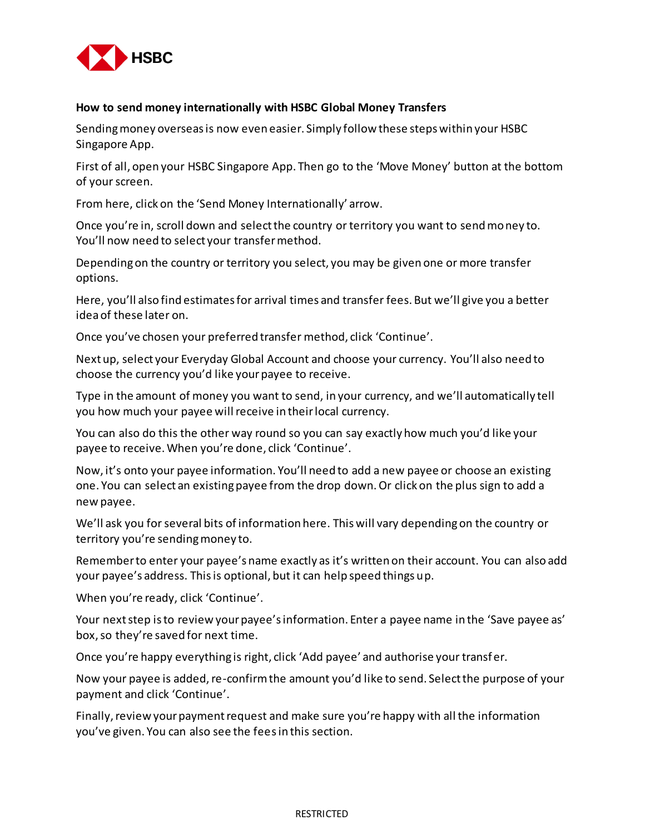

## **How to send money internationally with HSBC Global Money Transfers**

Sending money overseas is now even easier. Simply follow these steps within your HSBC Singapore App.

First of all, open your HSBC Singapore App. Then go to the 'Move Money' button at the bottom of your screen.

From here, click on the 'Send Money Internationally' arrow.

Once you're in, scroll down and select the country or territory you want to send money to. You'll now need to select your transfer method.

Depending on the country or territory you select, you may be given one or more transfer options.

Here, you'll also find estimates for arrival times and transfer fees. But we'll give you a better ideaof these later on.

Once you've chosen your preferred transfer method, click 'Continue'.

Next up, select your Everyday Global Account and choose your currency. You'll also need to choose the currency you'd like your payee to receive.

Type in the amount of money you want to send, in your currency, and we'll automatically tell you how much your payee will receive in their local currency.

You can also do this the other way round so you can say exactly how much you'd like your payee to receive. When you're done, click 'Continue'.

Now, it's onto your payee information. You'll need to add a new payee or choose an existing one. You can select an existing payee from the drop down. Or click on the plus sign to add a new payee.

We'll ask you for several bits of information here. This will vary depending on the country or territory you're sending money to.

Remember to enter your payee's name exactly as it's written on their account. You can also add your payee's address. This is optional, but it can help speed things up.

When you're ready, click 'Continue'.

Your next step is to review your payee's information. Enter a payee name in the 'Save payee as' box, so they're saved for next time.

Once you're happy everything is right, click 'Add payee' and authorise your transfer.

Now your payee is added, re-confirm the amount you'd like to send. Select the purpose of your payment and click 'Continue'.

Finally, review your payment request and make sure you're happy with all the information you've given. You can also see the fees in this section.